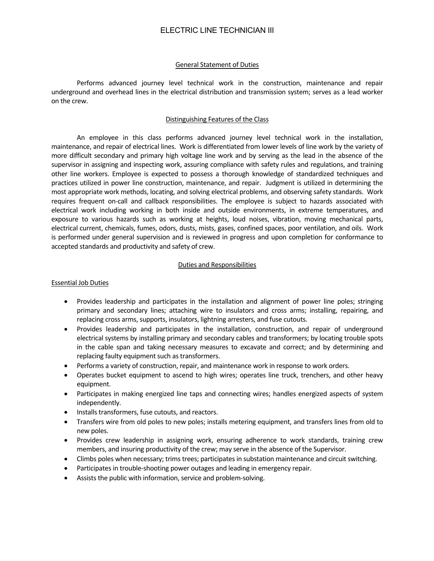# ELECTRIC LINE TECHNICIAN III

#### General Statement of Duties

Performs advanced journey level technical work in the construction, maintenance and repair underground and overhead lines in the electrical distribution and transmission system; serves as a lead worker on the crew.

#### Distinguishing Features of the Class

An employee in this class performs advanced journey level technical work in the installation, maintenance, and repair of electrical lines. Work is differentiated from lower levels of line work by the variety of more difficult secondary and primary high voltage line work and by serving as the lead in the absence of the supervisor in assigning and inspecting work, assuring compliance with safety rules and regulations, and training other line workers. Employee is expected to possess a thorough knowledge of standardized techniques and practices utilized in power line construction, maintenance, and repair. Judgment is utilized in determining the most appropriate work methods, locating, and solving electrical problems, and observing safety standards. Work requires frequent on-call and callback responsibilities. The employee is subject to hazards associated with electrical work including working in both inside and outside environments, in extreme temperatures, and exposure to various hazards such as working at heights, loud noises, vibration, moving mechanical parts, electrical current, chemicals, fumes, odors, dusts, mists, gases, confined spaces, poor ventilation, and oils. Work is performed under general supervision and is reviewed in progress and upon completion for conformance to accepted standards and productivity and safety of crew.

#### Duties and Responsibilities

#### Essential Job Duties

- Provides leadership and participates in the installation and alignment of power line poles; stringing primary and secondary lines; attaching wire to insulators and cross arms; installing, repairing, and replacing cross arms, supports, insulators, lightning arresters, and fuse cutouts.
- Provides leadership and participates in the installation, construction, and repair of underground electrical systems by installing primary and secondary cables and transformers; by locating trouble spots in the cable span and taking necessary measures to excavate and correct; and by determining and replacing faulty equipment such as transformers.
- Performs a variety of construction, repair, and maintenance work in response to work orders.
- Operates bucket equipment to ascend to high wires; operates line truck, trenchers, and other heavy equipment.
- Participates in making energized line taps and connecting wires; handles energized aspects of system independently.
- Installs transformers, fuse cutouts, and reactors.
- Transfers wire from old poles to new poles; installs metering equipment, and transfers lines from old to new poles.
- Provides crew leadership in assigning work, ensuring adherence to work standards, training crew members, and insuring productivity of the crew; may serve in the absence of the Supervisor.
- Climbs poles when necessary; trims trees; participates in substation maintenance and circuit switching.
- Participates in trouble-shooting power outages and leading in emergency repair.
- Assists the public with information, service and problem-solving.